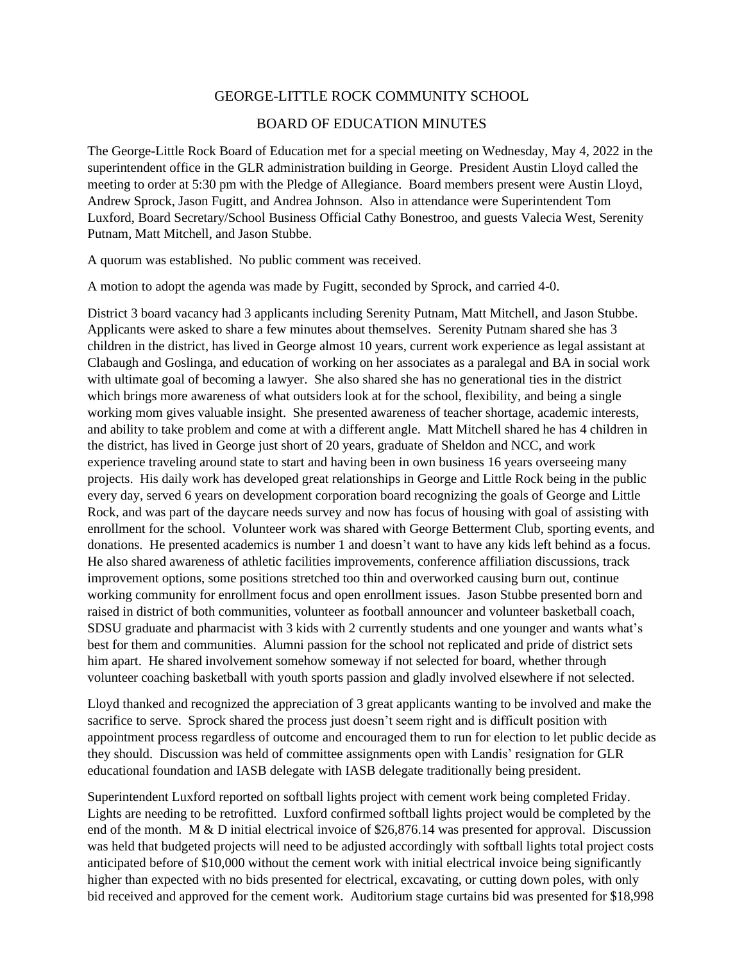## GEORGE-LITTLE ROCK COMMUNITY SCHOOL

## BOARD OF EDUCATION MINUTES

The George-Little Rock Board of Education met for a special meeting on Wednesday, May 4, 2022 in the superintendent office in the GLR administration building in George. President Austin Lloyd called the meeting to order at 5:30 pm with the Pledge of Allegiance. Board members present were Austin Lloyd, Andrew Sprock, Jason Fugitt, and Andrea Johnson. Also in attendance were Superintendent Tom Luxford, Board Secretary/School Business Official Cathy Bonestroo, and guests Valecia West, Serenity Putnam, Matt Mitchell, and Jason Stubbe.

A quorum was established. No public comment was received.

A motion to adopt the agenda was made by Fugitt, seconded by Sprock, and carried 4-0.

District 3 board vacancy had 3 applicants including Serenity Putnam, Matt Mitchell, and Jason Stubbe. Applicants were asked to share a few minutes about themselves. Serenity Putnam shared she has 3 children in the district, has lived in George almost 10 years, current work experience as legal assistant at Clabaugh and Goslinga, and education of working on her associates as a paralegal and BA in social work with ultimate goal of becoming a lawyer. She also shared she has no generational ties in the district which brings more awareness of what outsiders look at for the school, flexibility, and being a single working mom gives valuable insight. She presented awareness of teacher shortage, academic interests, and ability to take problem and come at with a different angle. Matt Mitchell shared he has 4 children in the district, has lived in George just short of 20 years, graduate of Sheldon and NCC, and work experience traveling around state to start and having been in own business 16 years overseeing many projects. His daily work has developed great relationships in George and Little Rock being in the public every day, served 6 years on development corporation board recognizing the goals of George and Little Rock, and was part of the daycare needs survey and now has focus of housing with goal of assisting with enrollment for the school. Volunteer work was shared with George Betterment Club, sporting events, and donations. He presented academics is number 1 and doesn't want to have any kids left behind as a focus. He also shared awareness of athletic facilities improvements, conference affiliation discussions, track improvement options, some positions stretched too thin and overworked causing burn out, continue working community for enrollment focus and open enrollment issues. Jason Stubbe presented born and raised in district of both communities, volunteer as football announcer and volunteer basketball coach, SDSU graduate and pharmacist with 3 kids with 2 currently students and one younger and wants what's best for them and communities. Alumni passion for the school not replicated and pride of district sets him apart. He shared involvement somehow someway if not selected for board, whether through volunteer coaching basketball with youth sports passion and gladly involved elsewhere if not selected.

Lloyd thanked and recognized the appreciation of 3 great applicants wanting to be involved and make the sacrifice to serve. Sprock shared the process just doesn't seem right and is difficult position with appointment process regardless of outcome and encouraged them to run for election to let public decide as they should. Discussion was held of committee assignments open with Landis' resignation for GLR educational foundation and IASB delegate with IASB delegate traditionally being president.

Superintendent Luxford reported on softball lights project with cement work being completed Friday. Lights are needing to be retrofitted. Luxford confirmed softball lights project would be completed by the end of the month. M & D initial electrical invoice of \$26,876.14 was presented for approval. Discussion was held that budgeted projects will need to be adjusted accordingly with softball lights total project costs anticipated before of \$10,000 without the cement work with initial electrical invoice being significantly higher than expected with no bids presented for electrical, excavating, or cutting down poles, with only bid received and approved for the cement work. Auditorium stage curtains bid was presented for \$18,998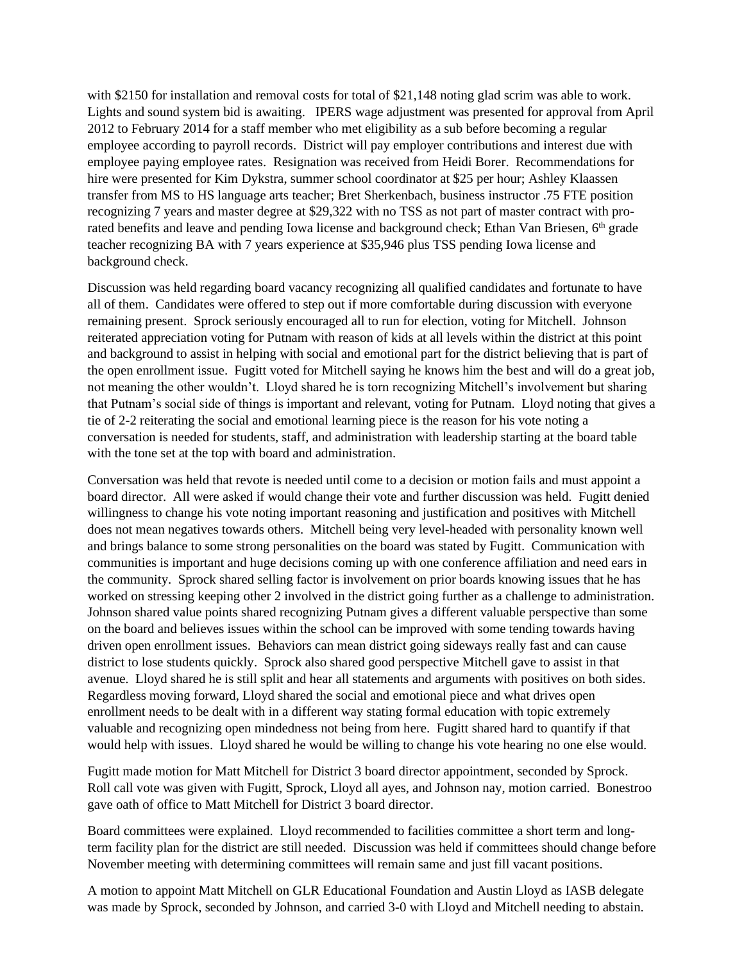with \$2150 for installation and removal costs for total of \$21,148 noting glad scrim was able to work. Lights and sound system bid is awaiting. IPERS wage adjustment was presented for approval from April 2012 to February 2014 for a staff member who met eligibility as a sub before becoming a regular employee according to payroll records. District will pay employer contributions and interest due with employee paying employee rates. Resignation was received from Heidi Borer. Recommendations for hire were presented for Kim Dykstra, summer school coordinator at \$25 per hour; Ashley Klaassen transfer from MS to HS language arts teacher; Bret Sherkenbach, business instructor .75 FTE position recognizing 7 years and master degree at \$29,322 with no TSS as not part of master contract with prorated benefits and leave and pending Iowa license and background check; Ethan Van Briesen, 6<sup>th</sup> grade teacher recognizing BA with 7 years experience at \$35,946 plus TSS pending Iowa license and background check.

Discussion was held regarding board vacancy recognizing all qualified candidates and fortunate to have all of them. Candidates were offered to step out if more comfortable during discussion with everyone remaining present. Sprock seriously encouraged all to run for election, voting for Mitchell. Johnson reiterated appreciation voting for Putnam with reason of kids at all levels within the district at this point and background to assist in helping with social and emotional part for the district believing that is part of the open enrollment issue. Fugitt voted for Mitchell saying he knows him the best and will do a great job, not meaning the other wouldn't. Lloyd shared he is torn recognizing Mitchell's involvement but sharing that Putnam's social side of things is important and relevant, voting for Putnam. Lloyd noting that gives a tie of 2-2 reiterating the social and emotional learning piece is the reason for his vote noting a conversation is needed for students, staff, and administration with leadership starting at the board table with the tone set at the top with board and administration.

Conversation was held that revote is needed until come to a decision or motion fails and must appoint a board director. All were asked if would change their vote and further discussion was held. Fugitt denied willingness to change his vote noting important reasoning and justification and positives with Mitchell does not mean negatives towards others. Mitchell being very level-headed with personality known well and brings balance to some strong personalities on the board was stated by Fugitt. Communication with communities is important and huge decisions coming up with one conference affiliation and need ears in the community. Sprock shared selling factor is involvement on prior boards knowing issues that he has worked on stressing keeping other 2 involved in the district going further as a challenge to administration. Johnson shared value points shared recognizing Putnam gives a different valuable perspective than some on the board and believes issues within the school can be improved with some tending towards having driven open enrollment issues. Behaviors can mean district going sideways really fast and can cause district to lose students quickly. Sprock also shared good perspective Mitchell gave to assist in that avenue. Lloyd shared he is still split and hear all statements and arguments with positives on both sides. Regardless moving forward, Lloyd shared the social and emotional piece and what drives open enrollment needs to be dealt with in a different way stating formal education with topic extremely valuable and recognizing open mindedness not being from here. Fugitt shared hard to quantify if that would help with issues. Lloyd shared he would be willing to change his vote hearing no one else would.

Fugitt made motion for Matt Mitchell for District 3 board director appointment, seconded by Sprock. Roll call vote was given with Fugitt, Sprock, Lloyd all ayes, and Johnson nay, motion carried. Bonestroo gave oath of office to Matt Mitchell for District 3 board director.

Board committees were explained. Lloyd recommended to facilities committee a short term and longterm facility plan for the district are still needed. Discussion was held if committees should change before November meeting with determining committees will remain same and just fill vacant positions.

A motion to appoint Matt Mitchell on GLR Educational Foundation and Austin Lloyd as IASB delegate was made by Sprock, seconded by Johnson, and carried 3-0 with Lloyd and Mitchell needing to abstain.